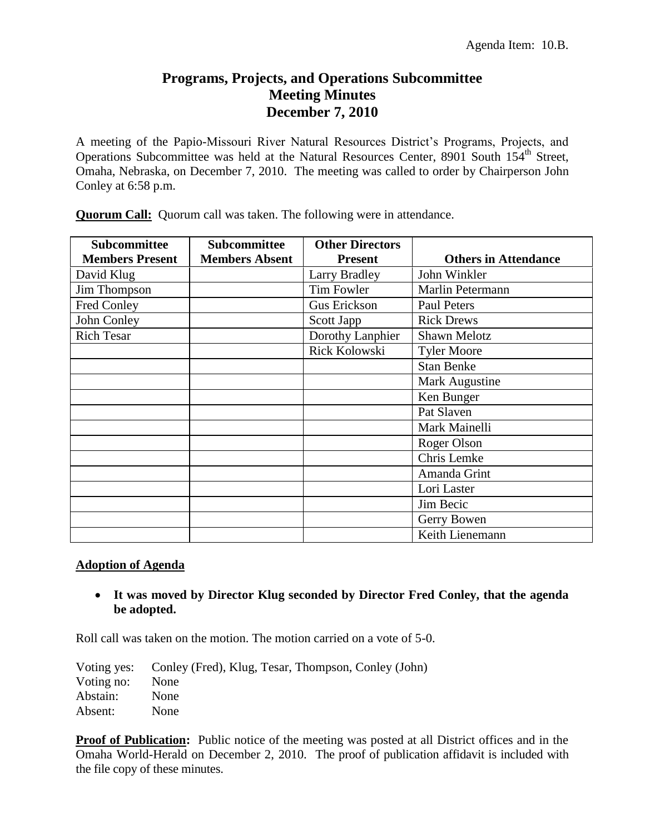# **Programs, Projects, and Operations Subcommittee Meeting Minutes December 7, 2010**

A meeting of the Papio-Missouri River Natural Resources District's Programs, Projects, and Operations Subcommittee was held at the Natural Resources Center, 8901 South 154<sup>th</sup> Street, Omaha, Nebraska, on December 7, 2010. The meeting was called to order by Chairperson John Conley at 6:58 p.m.

| <b>Subcommittee</b><br><b>Members Present</b> | <b>Subcommittee</b><br><b>Members Absent</b> | <b>Other Directors</b><br><b>Present</b> | <b>Others in Attendance</b> |
|-----------------------------------------------|----------------------------------------------|------------------------------------------|-----------------------------|
| David Klug                                    |                                              | <b>Larry Bradley</b>                     | John Winkler                |
| Jim Thompson                                  |                                              | Tim Fowler                               | Marlin Petermann            |
| Fred Conley                                   |                                              | Gus Erickson                             | <b>Paul Peters</b>          |
| John Conley                                   |                                              | Scott Japp                               | <b>Rick Drews</b>           |
| <b>Rich Tesar</b>                             |                                              | Dorothy Lanphier                         | <b>Shawn Melotz</b>         |
|                                               |                                              | Rick Kolowski                            | <b>Tyler Moore</b>          |
|                                               |                                              |                                          | <b>Stan Benke</b>           |
|                                               |                                              |                                          | Mark Augustine              |
|                                               |                                              |                                          | Ken Bunger                  |
|                                               |                                              |                                          | Pat Slaven                  |
|                                               |                                              |                                          | Mark Mainelli               |
|                                               |                                              |                                          | Roger Olson                 |
|                                               |                                              |                                          | Chris Lemke                 |
|                                               |                                              |                                          | Amanda Grint                |
|                                               |                                              |                                          | Lori Laster                 |
|                                               |                                              |                                          | Jim Becic                   |
|                                               |                                              |                                          | Gerry Bowen                 |
|                                               |                                              |                                          | Keith Lienemann             |

**Quorum Call:** Quorum call was taken. The following were in attendance.

### **Adoption of Agenda**

 **It was moved by Director Klug seconded by Director Fred Conley, that the agenda be adopted.**

Roll call was taken on the motion. The motion carried on a vote of 5-0.

|            | Voting yes: Conley (Fred), Klug, Tesar, Thompson, Conley (John) |
|------------|-----------------------------------------------------------------|
| Voting no: | None                                                            |
| Abstain:   | None                                                            |
| Absent:    | None                                                            |

**Proof of Publication:** Public notice of the meeting was posted at all District offices and in the Omaha World-Herald on December 2, 2010. The proof of publication affidavit is included with the file copy of these minutes.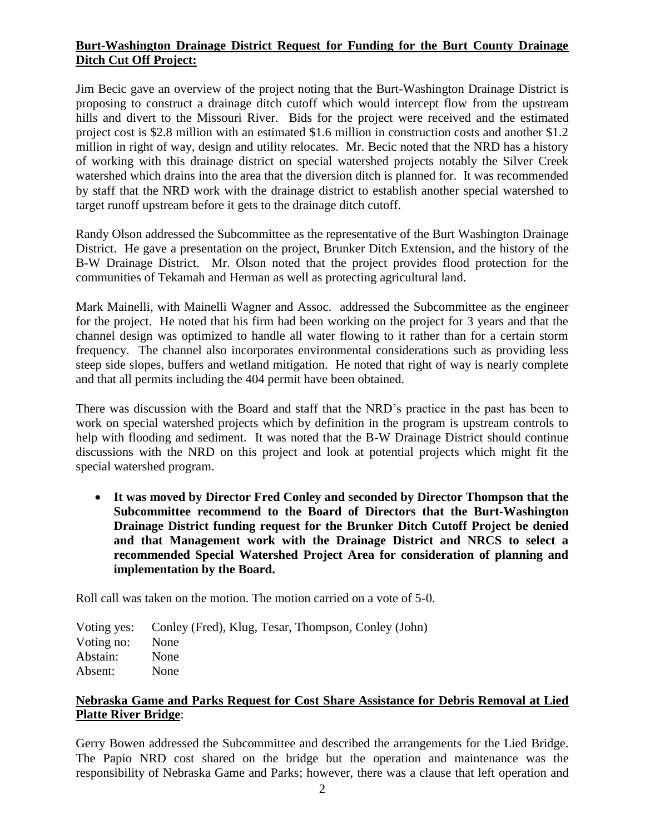## **Burt-Washington Drainage District Request for Funding for the Burt County Drainage Ditch Cut Off Project:**

Jim Becic gave an overview of the project noting that the Burt-Washington Drainage District is proposing to construct a drainage ditch cutoff which would intercept flow from the upstream hills and divert to the Missouri River. Bids for the project were received and the estimated project cost is \$2.8 million with an estimated \$1.6 million in construction costs and another \$1.2 million in right of way, design and utility relocates. Mr. Becic noted that the NRD has a history of working with this drainage district on special watershed projects notably the Silver Creek watershed which drains into the area that the diversion ditch is planned for. It was recommended by staff that the NRD work with the drainage district to establish another special watershed to target runoff upstream before it gets to the drainage ditch cutoff.

Randy Olson addressed the Subcommittee as the representative of the Burt Washington Drainage District. He gave a presentation on the project, Brunker Ditch Extension, and the history of the B-W Drainage District. Mr. Olson noted that the project provides flood protection for the communities of Tekamah and Herman as well as protecting agricultural land.

Mark Mainelli, with Mainelli Wagner and Assoc. addressed the Subcommittee as the engineer for the project. He noted that his firm had been working on the project for 3 years and that the channel design was optimized to handle all water flowing to it rather than for a certain storm frequency. The channel also incorporates environmental considerations such as providing less steep side slopes, buffers and wetland mitigation. He noted that right of way is nearly complete and that all permits including the 404 permit have been obtained.

There was discussion with the Board and staff that the NRD's practice in the past has been to work on special watershed projects which by definition in the program is upstream controls to help with flooding and sediment. It was noted that the B-W Drainage District should continue discussions with the NRD on this project and look at potential projects which might fit the special watershed program.

 **It was moved by Director Fred Conley and seconded by Director Thompson that the Subcommittee recommend to the Board of Directors that the Burt-Washington Drainage District funding request for the Brunker Ditch Cutoff Project be denied and that Management work with the Drainage District and NRCS to select a recommended Special Watershed Project Area for consideration of planning and implementation by the Board.**

Roll call was taken on the motion. The motion carried on a vote of 5-0.

Voting yes: Conley (Fred), Klug, Tesar, Thompson, Conley (John) Voting no: None Abstain: None Absent: None

### **Nebraska Game and Parks Request for Cost Share Assistance for Debris Removal at Lied Platte River Bridge**:

Gerry Bowen addressed the Subcommittee and described the arrangements for the Lied Bridge. The Papio NRD cost shared on the bridge but the operation and maintenance was the responsibility of Nebraska Game and Parks; however, there was a clause that left operation and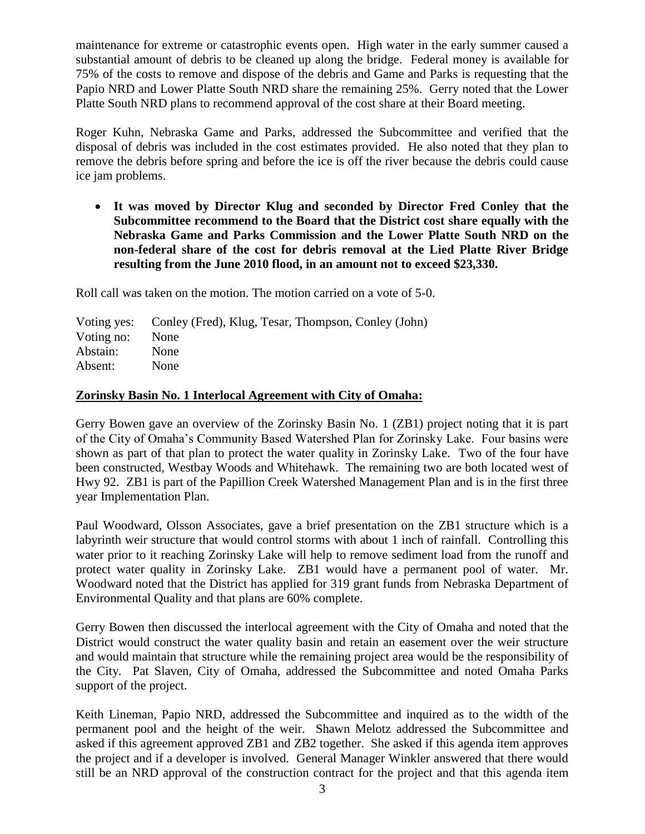maintenance for extreme or catastrophic events open. High water in the early summer caused a substantial amount of debris to be cleaned up along the bridge. Federal money is available for 75% of the costs to remove and dispose of the debris and Game and Parks is requesting that the Papio NRD and Lower Platte South NRD share the remaining 25%. Gerry noted that the Lower Platte South NRD plans to recommend approval of the cost share at their Board meeting.

Roger Kuhn, Nebraska Game and Parks, addressed the Subcommittee and verified that the disposal of debris was included in the cost estimates provided. He also noted that they plan to remove the debris before spring and before the ice is off the river because the debris could cause ice jam problems.

 **It was moved by Director Klug and seconded by Director Fred Conley that the Subcommittee recommend to the Board that the District cost share equally with the Nebraska Game and Parks Commission and the Lower Platte South NRD on the non-federal share of the cost for debris removal at the Lied Platte River Bridge resulting from the June 2010 flood, in an amount not to exceed \$23,330.**

Roll call was taken on the motion. The motion carried on a vote of 5-0.

| Voting yes: Conley (Fred), Klug, Tesar, Thompson, Conley (John) |
|-----------------------------------------------------------------|
| None                                                            |
| None                                                            |
| None                                                            |
|                                                                 |

#### **Zorinsky Basin No. 1 Interlocal Agreement with City of Omaha:**

Gerry Bowen gave an overview of the Zorinsky Basin No. 1 (ZB1) project noting that it is part of the City of Omaha's Community Based Watershed Plan for Zorinsky Lake. Four basins were shown as part of that plan to protect the water quality in Zorinsky Lake. Two of the four have been constructed, Westbay Woods and Whitehawk. The remaining two are both located west of Hwy 92. ZB1 is part of the Papillion Creek Watershed Management Plan and is in the first three year Implementation Plan.

Paul Woodward, Olsson Associates, gave a brief presentation on the ZB1 structure which is a labyrinth weir structure that would control storms with about 1 inch of rainfall. Controlling this water prior to it reaching Zorinsky Lake will help to remove sediment load from the runoff and protect water quality in Zorinsky Lake. ZB1 would have a permanent pool of water. Mr. Woodward noted that the District has applied for 319 grant funds from Nebraska Department of Environmental Quality and that plans are 60% complete.

Gerry Bowen then discussed the interlocal agreement with the City of Omaha and noted that the District would construct the water quality basin and retain an easement over the weir structure and would maintain that structure while the remaining project area would be the responsibility of the City. Pat Slaven, City of Omaha, addressed the Subcommittee and noted Omaha Parks support of the project.

Keith Lineman, Papio NRD, addressed the Subcommittee and inquired as to the width of the permanent pool and the height of the weir. Shawn Melotz addressed the Subcommittee and asked if this agreement approved ZB1 and ZB2 together. She asked if this agenda item approves the project and if a developer is involved. General Manager Winkler answered that there would still be an NRD approval of the construction contract for the project and that this agenda item